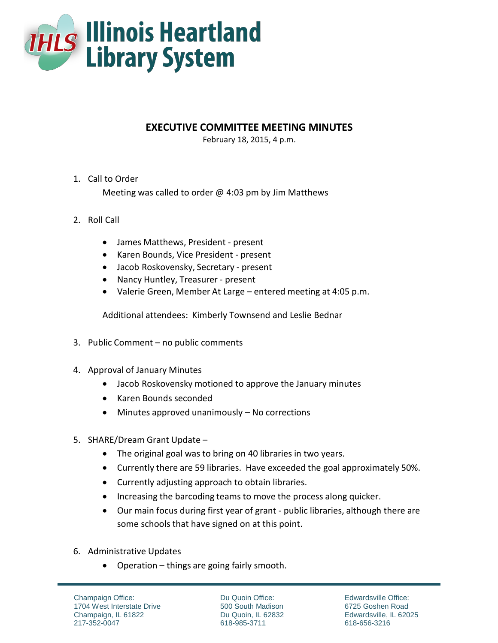

## **EXECUTIVE COMMITTEE MEETING MINUTES**

February 18, 2015, 4 p.m.

## 1. Call to Order

Meeting was called to order  $\omega$  4:03 pm by Jim Matthews

## 2. Roll Call

- James Matthews, President present
- Karen Bounds, Vice President present
- Jacob Roskovensky, Secretary present
- Nancy Huntley, Treasurer present
- Valerie Green, Member At Large entered meeting at 4:05 p.m.

Additional attendees: Kimberly Townsend and Leslie Bednar

- 3. Public Comment no public comments
- 4. Approval of January Minutes
	- Jacob Roskovensky motioned to approve the January minutes
	- Karen Bounds seconded
	- Minutes approved unanimously No corrections
- 5. SHARE/Dream Grant Update
	- The original goal was to bring on 40 libraries in two years.
	- Currently there are 59 libraries. Have exceeded the goal approximately 50%.
	- Currently adjusting approach to obtain libraries.
	- Increasing the barcoding teams to move the process along quicker.
	- Our main focus during first year of grant public libraries, although there are some schools that have signed on at this point.
- 6. Administrative Updates
	- Operation things are going fairly smooth.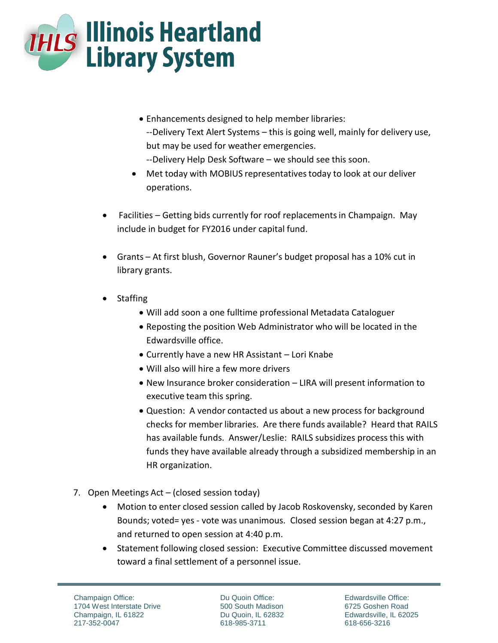

- Enhancements designed to help member libraries: --Delivery Text Alert Systems – this is going well, mainly for delivery use, but may be used for weather emergencies. --Delivery Help Desk Software – we should see this soon.
- Met today with MOBIUS representatives today to look at our deliver operations.
- Facilities Getting bids currently for roof replacements in Champaign. May include in budget for FY2016 under capital fund.
- Grants At first blush, Governor Rauner's budget proposal has a 10% cut in library grants.
- Staffing
	- Will add soon a one fulltime professional Metadata Cataloguer
	- Reposting the position Web Administrator who will be located in the Edwardsville office.
	- Currently have a new HR Assistant Lori Knabe
	- Will also will hire a few more drivers
	- New Insurance broker consideration LIRA will present information to executive team this spring.
	- Question: A vendor contacted us about a new process for background checks for member libraries. Are there funds available? Heard that RAILS has available funds. Answer/Leslie: RAILS subsidizes process this with funds they have available already through a subsidized membership in an HR organization.
- 7. Open Meetings Act (closed session today)
	- Motion to enter closed session called by Jacob Roskovensky, seconded by Karen Bounds; voted= yes - vote was unanimous. Closed session began at 4:27 p.m., and returned to open session at 4:40 p.m.
	- Statement following closed session: Executive Committee discussed movement toward a final settlement of a personnel issue.

Du Quoin Office: 500 South Madison Du Quoin, IL 62832 618-985-3711

Edwardsville Office: 6725 Goshen Road Edwardsville, IL 62025 618-656-3216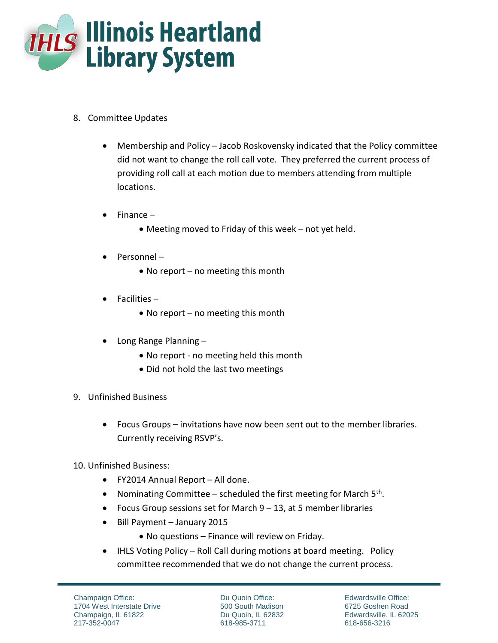

- 8. Committee Updates
	- Membership and Policy Jacob Roskovensky indicated that the Policy committee did not want to change the roll call vote. They preferred the current process of providing roll call at each motion due to members attending from multiple locations.
	- $\bullet$  Finance
		- Meeting moved to Friday of this week not yet held.
	- $\bullet$  Personnel
		- No report no meeting this month
	- $\bullet$  Facilities
		- No report no meeting this month
	- Long Range Planning -
		- No report no meeting held this month
		- Did not hold the last two meetings
- 9. Unfinished Business
	- Focus Groups invitations have now been sent out to the member libraries. Currently receiving RSVP's.
- 10. Unfinished Business:
	- FY2014 Annual Report All done.
	- Nominating Committee scheduled the first meeting for March  $5<sup>th</sup>$ .
	- Focus Group sessions set for March  $9 13$ , at 5 member libraries
	- Bill Payment January 2015
		- No questions Finance will review on Friday.
	- IHLS Voting Policy Roll Call during motions at board meeting. Policy committee recommended that we do not change the current process.

Du Quoin Office: 500 South Madison Du Quoin, IL 62832 618-985-3711